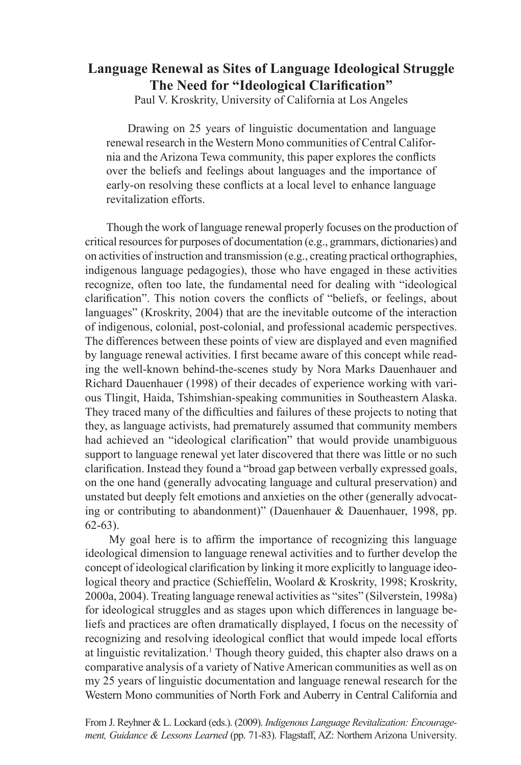# **Language Renewal as Sites of Language Ideological Struggle The Need for "Ideological Clarification"**

Paul V. Kroskrity, University of California at Los Angeles

Drawing on 25 years of linguistic documentation and language renewal research in the Western Mono communities of Central California and the Arizona Tewa community, this paper explores the conflicts over the beliefs and feelings about languages and the importance of early-on resolving these conflicts at a local level to enhance language revitalization efforts.

Though the work of language renewal properly focuses on the production of critical resources for purposes of documentation (e.g., grammars, dictionaries) and on activities of instruction and transmission (e.g., creating practical orthographies, indigenous language pedagogies), those who have engaged in these activities recognize, often too late, the fundamental need for dealing with "ideological clarification". This notion covers the conflicts of "beliefs, or feelings, about languages" (Kroskrity, 2004) that are the inevitable outcome of the interaction of indigenous, colonial, post-colonial, and professional academic perspectives. The differences between these points of view are displayed and even magnified by language renewal activities. I first became aware of this concept while reading the well-known behind-the-scenes study by Nora Marks Dauenhauer and Richard Dauenhauer (1998) of their decades of experience working with various Tlingit, Haida, Tshimshian-speaking communities in Southeastern Alaska. They traced many of the difficulties and failures of these projects to noting that they, as language activists, had prematurely assumed that community members had achieved an "ideological clarification" that would provide unambiguous support to language renewal yet later discovered that there was little or no such clarification. Instead they found a "broad gap between verbally expressed goals, on the one hand (generally advocating language and cultural preservation) and unstated but deeply felt emotions and anxieties on the other (generally advocating or contributing to abandonment)" (Dauenhauer & Dauenhauer, 1998, pp. 62-63).

My goal here is to affirm the importance of recognizing this language ideological dimension to language renewal activities and to further develop the concept of ideological clarification by linking it more explicitly to language ideological theory and practice (Schieffelin, Woolard & Kroskrity, 1998; Kroskrity, 2000a, 2004). Treating language renewal activities as "sites" (Silverstein, 1998a) for ideological struggles and as stages upon which differences in language beliefs and practices are often dramatically displayed, I focus on the necessity of recognizing and resolving ideological conflict that would impede local efforts at linguistic revitalization.<sup>1</sup> Though theory guided, this chapter also draws on a comparative analysis of a variety of Native American communities as well as on my 25 years of linguistic documentation and language renewal research for the Western Mono communities of North Fork and Auberry in Central California and

From J. Reyhner & L. Lockard (eds.). (2009). *[Indigenous Language Revitalization: Encourage](http://jan.ucc.nau.edu/~jar/ILR)[ment, Guidance & Lessons Learned](http://jan.ucc.nau.edu/~jar/ILR)* (pp. 71-83). Flagstaff, AZ: Northern Arizona University.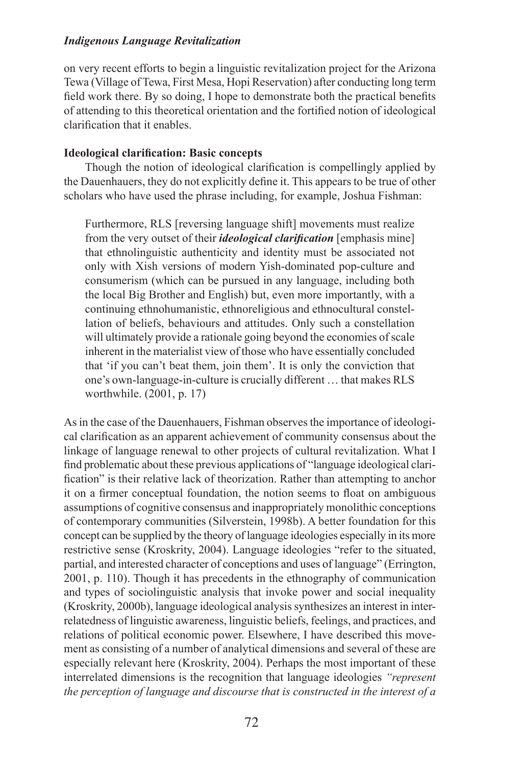on very recent efforts to begin a linguistic revitalization project for the Arizona Tewa (Village of Tewa, First Mesa, Hopi Reservation) after conducting long term field work there. By so doing, I hope to demonstrate both the practical benefits of attending to this theoretical orientation and the fortified notion of ideological clarification that it enables.

### **Ideological clarification: Basic concepts**

Though the notion of ideological clarification is compellingly applied by the Dauenhauers, they do not explicitly define it. This appears to be true of other scholars who have used the phrase including, for example, Joshua Fishman:

Furthermore, RLS [reversing language shift] movements must realize from the very outset of their *ideological clarification* [emphasis mine] that ethnolinguistic authenticity and identity must be associated not only with Xish versions of modern Yish-dominated pop-culture and consumerism (which can be pursued in any language, including both the local Big Brother and English) but, even more importantly, with a continuing ethnohumanistic, ethnoreligious and ethnocultural constellation of beliefs, behaviours and attitudes. Only such a constellation will ultimately provide a rationale going beyond the economies of scale inherent in the materialist view of those who have essentially concluded that 'if you can't beat them, join them'. It is only the conviction that one's own-language-in-culture is crucially different … that makes RLS worthwhile. (2001, p. 17)

As in the case of the Dauenhauers, Fishman observes the importance of ideological clarification as an apparent achievement of community consensus about the linkage of language renewal to other projects of cultural revitalization. What I find problematic about these previous applications of "language ideological clarification" is their relative lack of theorization. Rather than attempting to anchor it on a firmer conceptual foundation, the notion seems to float on ambiguous assumptions of cognitive consensus and inappropriately monolithic conceptions of contemporary communities (Silverstein, 1998b). A better foundation for this concept can be supplied by the theory of language ideologies especially in its more restrictive sense (Kroskrity, 2004). Language ideologies "refer to the situated, partial, and interested character of conceptions and uses of language" (Errington, 2001, p. 110). Though it has precedents in the ethnography of communication and types of sociolinguistic analysis that invoke power and social inequality (Kroskrity, 2000b), language ideological analysis synthesizes an interest in interrelatedness of linguistic awareness, linguistic beliefs, feelings, and practices, and relations of political economic power. Elsewhere, I have described this movement as consisting of a number of analytical dimensions and several of these are especially relevant here (Kroskrity, 2004). Perhaps the most important of these interrelated dimensions is the recognition that language ideologies *"represent the perception of language and discourse that is constructed in the interest of a*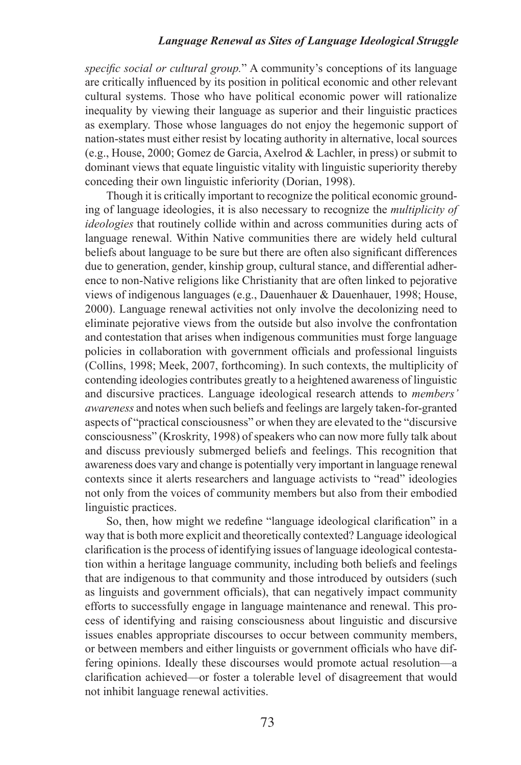*specific social or cultural group.*" A community's conceptions of its language are critically influenced by its position in political economic and other relevant cultural systems. Those who have political economic power will rationalize inequality by viewing their language as superior and their linguistic practices as exemplary. Those whose languages do not enjoy the hegemonic support of nation-states must either resist by locating authority in alternative, local sources (e.g., House, 2000; Gomez de Garcia, Axelrod & Lachler, in press) or submit to dominant views that equate linguistic vitality with linguistic superiority thereby conceding their own linguistic inferiority (Dorian, 1998).

Though it is critically important to recognize the political economic grounding of language ideologies, it is also necessary to recognize the *multiplicity of ideologies* that routinely collide within and across communities during acts of language renewal. Within Native communities there are widely held cultural beliefs about language to be sure but there are often also significant differences due to generation, gender, kinship group, cultural stance, and differential adherence to non-Native religions like Christianity that are often linked to pejorative views of indigenous languages (e.g., Dauenhauer & Dauenhauer, 1998; House, 2000). Language renewal activities not only involve the decolonizing need to eliminate pejorative views from the outside but also involve the confrontation and contestation that arises when indigenous communities must forge language policies in collaboration with government officials and professional linguists (Collins, 1998; Meek, 2007, forthcoming). In such contexts, the multiplicity of contending ideologies contributes greatly to a heightened awareness of linguistic and discursive practices. Language ideological research attends to *members' awareness* and notes when such beliefs and feelings are largely taken-for-granted aspects of "practical consciousness" or when they are elevated to the "discursive consciousness" (Kroskrity, 1998) of speakers who can now more fully talk about and discuss previously submerged beliefs and feelings. This recognition that awareness does vary and change is potentially very important in language renewal contexts since it alerts researchers and language activists to "read" ideologies not only from the voices of community members but also from their embodied linguistic practices.

So, then, how might we redefine "language ideological clarification" in a way that is both more explicit and theoretically contexted? Language ideological clarification is the process of identifying issues of language ideological contestation within a heritage language community, including both beliefs and feelings that are indigenous to that community and those introduced by outsiders (such as linguists and government officials), that can negatively impact community efforts to successfully engage in language maintenance and renewal. This process of identifying and raising consciousness about linguistic and discursive issues enables appropriate discourses to occur between community members, or between members and either linguists or government officials who have differing opinions. Ideally these discourses would promote actual resolution—a clarification achieved—or foster a tolerable level of disagreement that would not inhibit language renewal activities.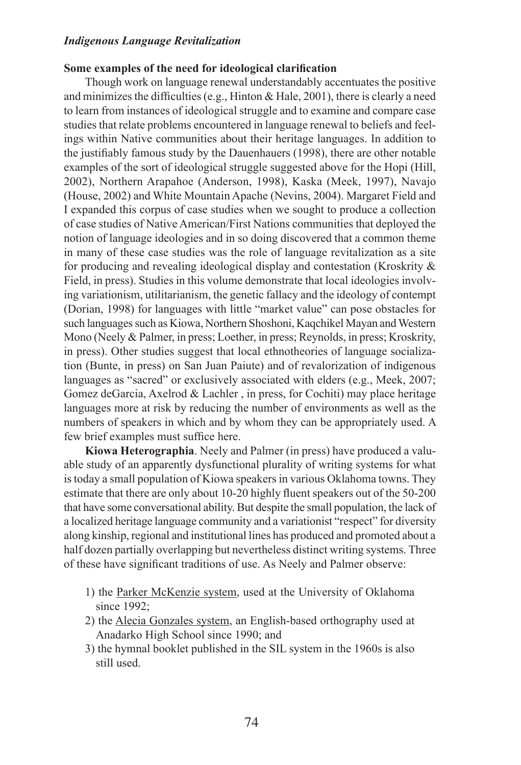#### **Some examples of the need for ideological clarification**

Though work on language renewal understandably accentuates the positive and minimizes the difficulties (e.g., Hinton  $&$  Hale, 2001), there is clearly a need to learn from instances of ideological struggle and to examine and compare case studies that relate problems encountered in language renewal to beliefs and feelings within Native communities about their heritage languages. In addition to the justifiably famous study by the Dauenhauers (1998), there are other notable examples of the sort of ideological struggle suggested above for the Hopi (Hill, 2002), Northern Arapahoe (Anderson, 1998), Kaska (Meek, 1997), Navajo (House, 2002) and White Mountain Apache (Nevins, 2004). Margaret Field and I expanded this corpus of case studies when we sought to produce a collection of case studies of Native American/First Nations communities that deployed the notion of language ideologies and in so doing discovered that a common theme in many of these case studies was the role of language revitalization as a site for producing and revealing ideological display and contestation (Kroskrity & Field, in press). Studies in this volume demonstrate that local ideologies involving variationism, utilitarianism, the genetic fallacy and the ideology of contempt (Dorian, 1998) for languages with little "market value" can pose obstacles for such languages such as Kiowa, Northern Shoshoni, Kaqchikel Mayan and Western Mono (Neely & Palmer, in press; Loether, in press; Reynolds, in press; Kroskrity, in press). Other studies suggest that local ethnotheories of language socialization (Bunte, in press) on San Juan Paiute) and of revalorization of indigenous languages as "sacred" or exclusively associated with elders (e.g., Meek, 2007; Gomez deGarcia, Axelrod & Lachler , in press, for Cochiti) may place heritage languages more at risk by reducing the number of environments as well as the numbers of speakers in which and by whom they can be appropriately used. A few brief examples must suffice here.

**Kiowa Heterographia**. Neely and Palmer (in press) have produced a valuable study of an apparently dysfunctional plurality of writing systems for what is today a small population of Kiowa speakers in various Oklahoma towns. They estimate that there are only about 10-20 highly fluent speakers out of the 50-200 that have some conversational ability. But despite the small population, the lack of a localized heritage language community and a variationist "respect" for diversity along kinship, regional and institutional lines has produced and promoted about a half dozen partially overlapping but nevertheless distinct writing systems. Three of these have significant traditions of use. As Neely and Palmer observe:

- 1) the Parker McKenzie system, used at the University of Oklahoma since 1992:
- 2) the Alecia Gonzales system, an English-based orthography used at Anadarko High School since 1990; and
- 3) the hymnal booklet published in the SIL system in the 1960s is also still used.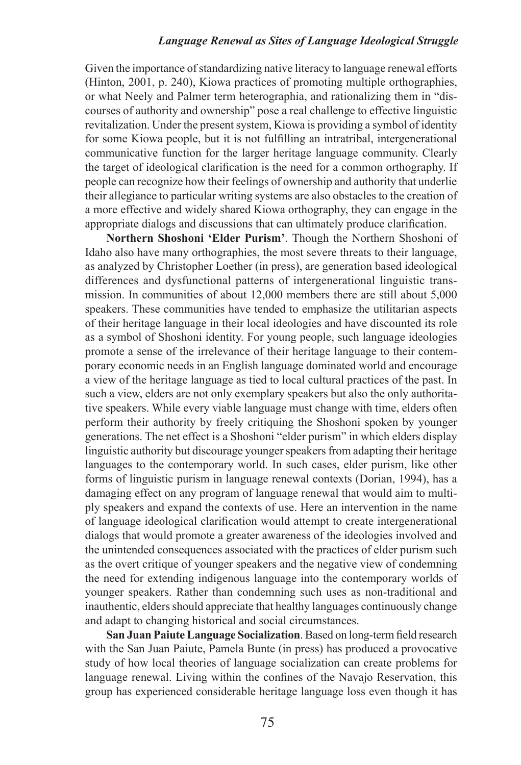Given the importance of standardizing native literacy to language renewal efforts (Hinton, 2001, p. 240), Kiowa practices of promoting multiple orthographies, or what Neely and Palmer term heterographia, and rationalizing them in "discourses of authority and ownership" pose a real challenge to effective linguistic revitalization. Under the present system, Kiowa is providing a symbol of identity for some Kiowa people, but it is not fulfilling an intratribal, intergenerational communicative function for the larger heritage language community. Clearly the target of ideological clarification is the need for a common orthography. If people can recognize how their feelings of ownership and authority that underlie their allegiance to particular writing systems are also obstacles to the creation of a more effective and widely shared Kiowa orthography, they can engage in the appropriate dialogs and discussions that can ultimately produce clarification.

**Northern Shoshoni 'Elder Purism'**. Though the Northern Shoshoni of Idaho also have many orthographies, the most severe threats to their language, as analyzed by Christopher Loether (in press), are generation based ideological differences and dysfunctional patterns of intergenerational linguistic transmission. In communities of about 12,000 members there are still about 5,000 speakers. These communities have tended to emphasize the utilitarian aspects of their heritage language in their local ideologies and have discounted its role as a symbol of Shoshoni identity. For young people, such language ideologies promote a sense of the irrelevance of their heritage language to their contemporary economic needs in an English language dominated world and encourage a view of the heritage language as tied to local cultural practices of the past. In such a view, elders are not only exemplary speakers but also the only authoritative speakers. While every viable language must change with time, elders often perform their authority by freely critiquing the Shoshoni spoken by younger generations. The net effect is a Shoshoni "elder purism" in which elders display linguistic authority but discourage younger speakers from adapting their heritage languages to the contemporary world. In such cases, elder purism, like other forms of linguistic purism in language renewal contexts (Dorian, 1994), has a damaging effect on any program of language renewal that would aim to multiply speakers and expand the contexts of use. Here an intervention in the name of language ideological clarification would attempt to create intergenerational dialogs that would promote a greater awareness of the ideologies involved and the unintended consequences associated with the practices of elder purism such as the overt critique of younger speakers and the negative view of condemning the need for extending indigenous language into the contemporary worlds of younger speakers. Rather than condemning such uses as non-traditional and inauthentic, elders should appreciate that healthy languages continuously change and adapt to changing historical and social circumstances.

**San Juan Paiute Language Socialization**. Based on long-term field research with the San Juan Paiute, Pamela Bunte (in press) has produced a provocative study of how local theories of language socialization can create problems for language renewal. Living within the confines of the Navajo Reservation, this group has experienced considerable heritage language loss even though it has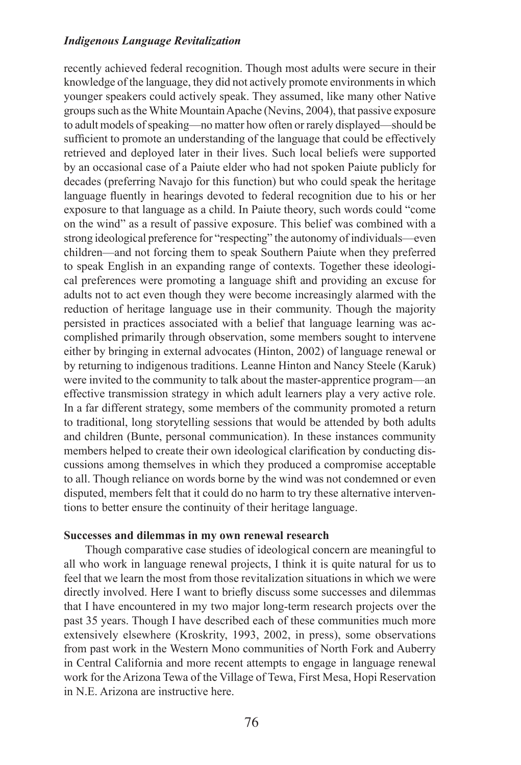recently achieved federal recognition. Though most adults were secure in their knowledge of the language, they did not actively promote environments in which younger speakers could actively speak. They assumed, like many other Native groups such as the White Mountain Apache (Nevins, 2004), that passive exposure to adult models of speaking—no matter how often or rarely displayed—should be sufficient to promote an understanding of the language that could be effectively retrieved and deployed later in their lives. Such local beliefs were supported by an occasional case of a Paiute elder who had not spoken Paiute publicly for decades (preferring Navajo for this function) but who could speak the heritage language fluently in hearings devoted to federal recognition due to his or her exposure to that language as a child. In Paiute theory, such words could "come on the wind" as a result of passive exposure. This belief was combined with a strong ideological preference for "respecting" the autonomy of individuals—even children—and not forcing them to speak Southern Paiute when they preferred to speak English in an expanding range of contexts. Together these ideological preferences were promoting a language shift and providing an excuse for adults not to act even though they were become increasingly alarmed with the reduction of heritage language use in their community. Though the majority persisted in practices associated with a belief that language learning was accomplished primarily through observation, some members sought to intervene either by bringing in external advocates (Hinton, 2002) of language renewal or by returning to indigenous traditions. Leanne Hinton and Nancy Steele (Karuk) were invited to the community to talk about the master-apprentice program—an effective transmission strategy in which adult learners play a very active role. In a far different strategy, some members of the community promoted a return to traditional, long storytelling sessions that would be attended by both adults and children (Bunte, personal communication). In these instances community members helped to create their own ideological clarification by conducting discussions among themselves in which they produced a compromise acceptable to all. Though reliance on words borne by the wind was not condemned or even disputed, members felt that it could do no harm to try these alternative interventions to better ensure the continuity of their heritage language.

#### **Successes and dilemmas in my own renewal research**

Though comparative case studies of ideological concern are meaningful to all who work in language renewal projects, I think it is quite natural for us to feel that we learn the most from those revitalization situations in which we were directly involved. Here I want to briefly discuss some successes and dilemmas that I have encountered in my two major long-term research projects over the past 35 years. Though I have described each of these communities much more extensively elsewhere (Kroskrity, 1993, 2002, in press), some observations from past work in the Western Mono communities of North Fork and Auberry in Central California and more recent attempts to engage in language renewal work for the Arizona Tewa of the Village of Tewa, First Mesa, Hopi Reservation in N.E. Arizona are instructive here.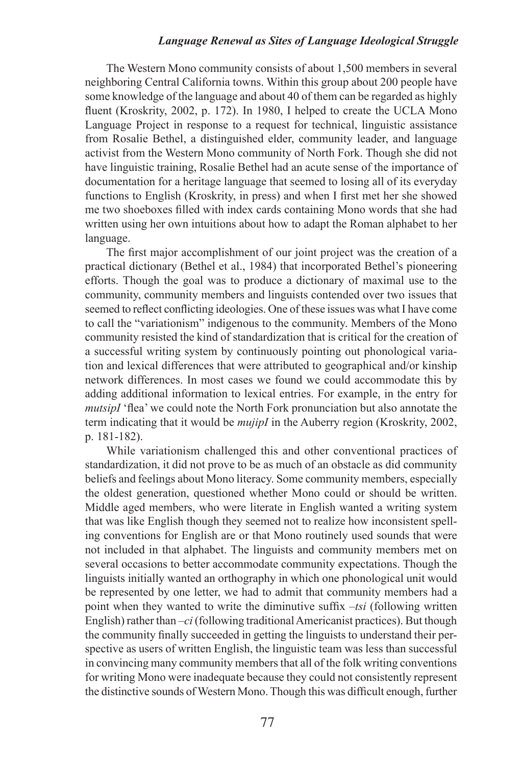The Western Mono community consists of about 1,500 members in several neighboring Central California towns. Within this group about 200 people have some knowledge of the language and about 40 of them can be regarded as highly fluent (Kroskrity, 2002, p. 172). In 1980, I helped to create the UCLA Mono Language Project in response to a request for technical, linguistic assistance from Rosalie Bethel, a distinguished elder, community leader, and language activist from the Western Mono community of North Fork. Though she did not have linguistic training, Rosalie Bethel had an acute sense of the importance of documentation for a heritage language that seemed to losing all of its everyday functions to English (Kroskrity, in press) and when I first met her she showed me two shoeboxes filled with index cards containing Mono words that she had written using her own intuitions about how to adapt the Roman alphabet to her language.

The first major accomplishment of our joint project was the creation of a practical dictionary (Bethel et al., 1984) that incorporated Bethel's pioneering efforts. Though the goal was to produce a dictionary of maximal use to the community, community members and linguists contended over two issues that seemed to reflect conflicting ideologies. One of these issues was what I have come to call the "variationism" indigenous to the community. Members of the Mono community resisted the kind of standardization that is critical for the creation of a successful writing system by continuously pointing out phonological variation and lexical differences that were attributed to geographical and/or kinship network differences. In most cases we found we could accommodate this by adding additional information to lexical entries. For example, in the entry for *mutsipI* 'flea' we could note the North Fork pronunciation but also annotate the term indicating that it would be *mujipI* in the Auberry region (Kroskrity, 2002, p. 181-182).

While variationism challenged this and other conventional practices of standardization, it did not prove to be as much of an obstacle as did community beliefs and feelings about Mono literacy. Some community members, especially the oldest generation, questioned whether Mono could or should be written. Middle aged members, who were literate in English wanted a writing system that was like English though they seemed not to realize how inconsistent spelling conventions for English are or that Mono routinely used sounds that were not included in that alphabet. The linguists and community members met on several occasions to better accommodate community expectations. Though the linguists initially wanted an orthography in which one phonological unit would be represented by one letter, we had to admit that community members had a point when they wanted to write the diminutive suffix *–tsi* (following written English) rather than *–ci* (following traditional Americanist practices). But though the community finally succeeded in getting the linguists to understand their perspective as users of written English, the linguistic team was less than successful in convincing many community members that all of the folk writing conventions for writing Mono were inadequate because they could not consistently represent the distinctive sounds of Western Mono. Though this was difficult enough, further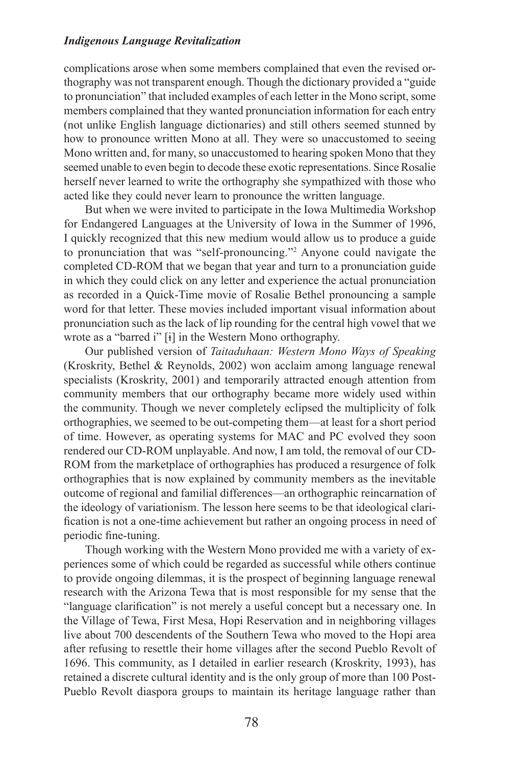complications arose when some members complained that even the revised orthography was not transparent enough. Though the dictionary provided a "guide to pronunciation" that included examples of each letter in the Mono script, some members complained that they wanted pronunciation information for each entry (not unlike English language dictionaries) and still others seemed stunned by how to pronounce written Mono at all. They were so unaccustomed to seeing Mono written and, for many, so unaccustomed to hearing spoken Mono that they seemed unable to even begin to decode these exotic representations. Since Rosalie herself never learned to write the orthography she sympathized with those who acted like they could never learn to pronounce the written language.

But when we were invited to participate in the Iowa Multimedia Workshop for Endangered Languages at the University of Iowa in the Summer of 1996, I quickly recognized that this new medium would allow us to produce a guide to pronunciation that was "self-pronouncing."<sup>2</sup> Anyone could navigate the completed CD-ROM that we began that year and turn to a pronunciation guide in which they could click on any letter and experience the actual pronunciation as recorded in a Quick-Time movie of Rosalie Bethel pronouncing a sample word for that letter. These movies included important visual information about pronunciation such as the lack of lip rounding for the central high vowel that we wrote as a "barred i" [i] in the Western Mono orthography.

Our published version of *Taitaduhaan: Western Mono Ways of Speaking* (Kroskrity, Bethel & Reynolds, 2002) won acclaim among language renewal specialists (Kroskrity, 2001) and temporarily attracted enough attention from community members that our orthography became more widely used within the community. Though we never completely eclipsed the multiplicity of folk orthographies, we seemed to be out-competing them—at least for a short period of time. However, as operating systems for MAC and PC evolved they soon rendered our CD-ROM unplayable. And now, I am told, the removal of our CD-ROM from the marketplace of orthographies has produced a resurgence of folk orthographies that is now explained by community members as the inevitable outcome of regional and familial differences—an orthographic reincarnation of the ideology of variationism. The lesson here seems to be that ideological clarification is not a one-time achievement but rather an ongoing process in need of periodic fine-tuning.

Though working with the Western Mono provided me with a variety of experiences some of which could be regarded as successful while others continue to provide ongoing dilemmas, it is the prospect of beginning language renewal research with the Arizona Tewa that is most responsible for my sense that the "language clarification" is not merely a useful concept but a necessary one. In the Village of Tewa, First Mesa, Hopi Reservation and in neighboring villages live about 700 descendents of the Southern Tewa who moved to the Hopi area after refusing to resettle their home villages after the second Pueblo Revolt of 1696. This community, as I detailed in earlier research (Kroskrity, 1993), has retained a discrete cultural identity and is the only group of more than 100 Post-Pueblo Revolt diaspora groups to maintain its heritage language rather than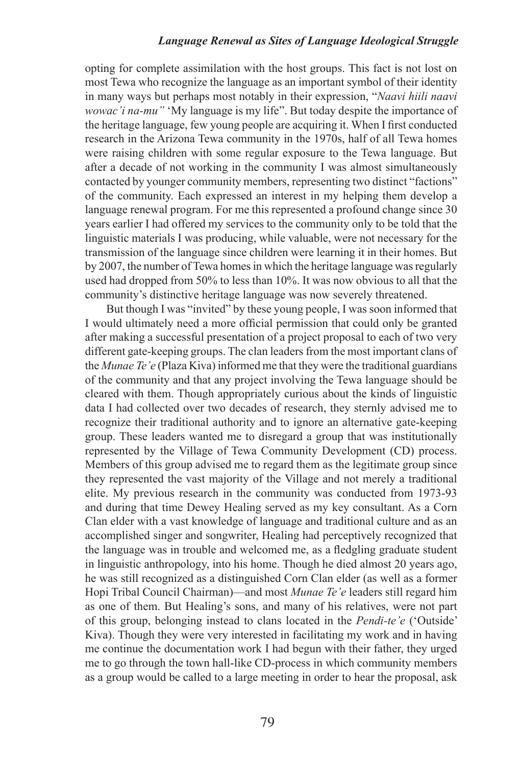opting for complete assimilation with the host groups. This fact is not lost on most Tewa who recognize the language as an important symbol of their identity in many ways but perhaps most notably in their expression, "*Naavi hiili naavi wowac'i na-mu"* 'My language is my life". But today despite the importance of the heritage language, few young people are acquiring it. When I first conducted research in the Arizona Tewa community in the 1970s, half of all Tewa homes were raising children with some regular exposure to the Tewa language. But after a decade of not working in the community I was almost simultaneously contacted by younger community members, representing two distinct "factions" of the community. Each expressed an interest in my helping them develop a language renewal program. For me this represented a profound change since 30 years earlier I had offered my services to the community only to be told that the linguistic materials I was producing, while valuable, were not necessary for the transmission of the language since children were learning it in their homes. But by 2007, the number of Tewa homes in which the heritage language was regularly used had dropped from 50% to less than 10%. It was now obvious to all that the community's distinctive heritage language was now severely threatened.

But though I was "invited" by these young people, I was soon informed that I would ultimately need a more official permission that could only be granted after making a successful presentation of a project proposal to each of two very different gate-keeping groups. The clan leaders from the most important clans of the *Munae Te'e* (Plaza Kiva) informed me that they were the traditional guardians of the community and that any project involving the Tewa language should be cleared with them. Though appropriately curious about the kinds of linguistic data I had collected over two decades of research, they sternly advised me to recognize their traditional authority and to ignore an alternative gate-keeping group. These leaders wanted me to disregard a group that was institutionally represented by the Village of Tewa Community Development (CD) process. Members of this group advised me to regard them as the legitimate group since they represented the vast majority of the Village and not merely a traditional elite. My previous research in the community was conducted from 1973-93 and during that time Dewey Healing served as my key consultant. As a Corn Clan elder with a vast knowledge of language and traditional culture and as an accomplished singer and songwriter, Healing had perceptively recognized that the language was in trouble and welcomed me, as a fledgling graduate student in linguistic anthropology, into his home. Though he died almost 20 years ago, he was still recognized as a distinguished Corn Clan elder (as well as a former Hopi Tribal Council Chairman)—and most *Munae Te'e* leaders still regard him as one of them. But Healing's sons, and many of his relatives, were not part of this group, belonging instead to clans located in the *Pendi-te'e* ('Outside' Kiva). Though they were very interested in facilitating my work and in having me continue the documentation work I had begun with their father, they urged me to go through the town hall-like CD-process in which community members as a group would be called to a large meeting in order to hear the proposal, ask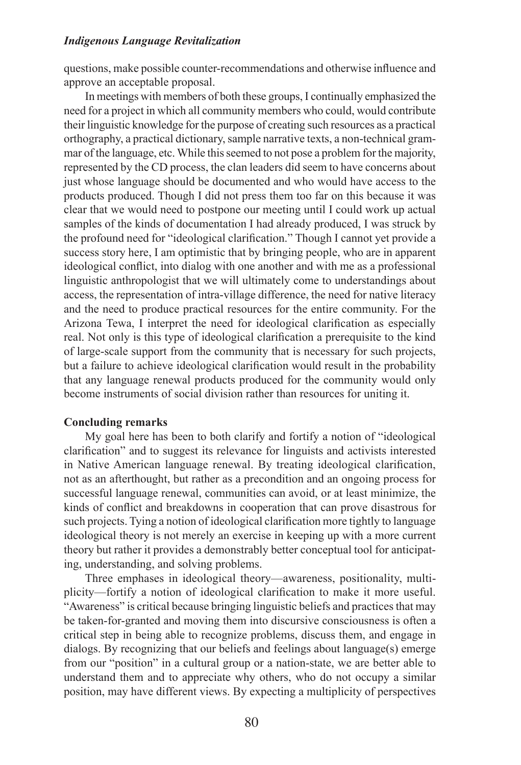questions, make possible counter-recommendations and otherwise influence and approve an acceptable proposal.

In meetings with members of both these groups, I continually emphasized the need for a project in which all community members who could, would contribute their linguistic knowledge for the purpose of creating such resources as a practical orthography, a practical dictionary, sample narrative texts, a non-technical grammar of the language, etc. While this seemed to not pose a problem for the majority, represented by the CD process, the clan leaders did seem to have concerns about just whose language should be documented and who would have access to the products produced. Though I did not press them too far on this because it was clear that we would need to postpone our meeting until I could work up actual samples of the kinds of documentation I had already produced, I was struck by the profound need for "ideological clarification." Though I cannot yet provide a success story here, I am optimistic that by bringing people, who are in apparent ideological conflict, into dialog with one another and with me as a professional linguistic anthropologist that we will ultimately come to understandings about access, the representation of intra-village difference, the need for native literacy and the need to produce practical resources for the entire community. For the Arizona Tewa, I interpret the need for ideological clarification as especially real. Not only is this type of ideological clarification a prerequisite to the kind of large-scale support from the community that is necessary for such projects, but a failure to achieve ideological clarification would result in the probability that any language renewal products produced for the community would only become instruments of social division rather than resources for uniting it.

#### **Concluding remarks**

My goal here has been to both clarify and fortify a notion of "ideological clarification" and to suggest its relevance for linguists and activists interested in Native American language renewal. By treating ideological clarification, not as an afterthought, but rather as a precondition and an ongoing process for successful language renewal, communities can avoid, or at least minimize, the kinds of conflict and breakdowns in cooperation that can prove disastrous for such projects. Tying a notion of ideological clarification more tightly to language ideological theory is not merely an exercise in keeping up with a more current theory but rather it provides a demonstrably better conceptual tool for anticipating, understanding, and solving problems.

Three emphases in ideological theory—awareness, positionality, multiplicity—fortify a notion of ideological clarification to make it more useful. "Awareness" is critical because bringing linguistic beliefs and practices that may be taken-for-granted and moving them into discursive consciousness is often a critical step in being able to recognize problems, discuss them, and engage in dialogs. By recognizing that our beliefs and feelings about language(s) emerge from our "position" in a cultural group or a nation-state, we are better able to understand them and to appreciate why others, who do not occupy a similar position, may have different views. By expecting a multiplicity of perspectives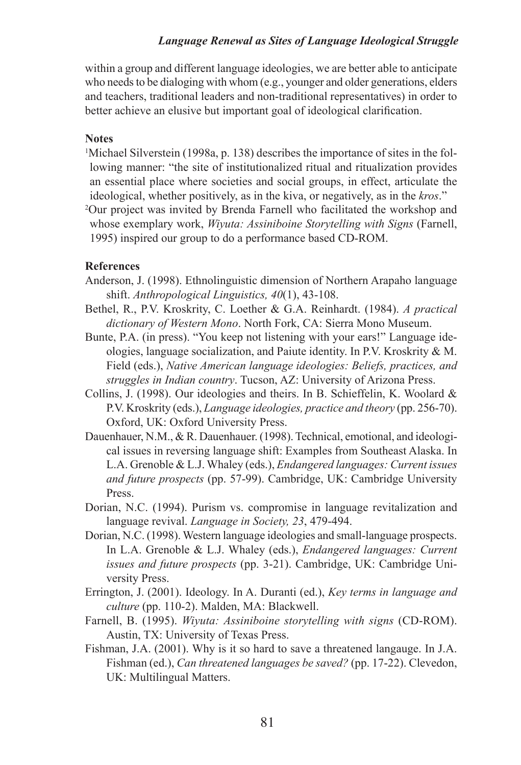within a group and different language ideologies, we are better able to anticipate who needs to be dialoging with whom (e.g., younger and older generations, elders and teachers, traditional leaders and non-traditional representatives) in order to better achieve an elusive but important goal of ideological clarification.

### **Notes**

1 Michael Silverstein (1998a, p. 138) describes the importance of sites in the following manner: "the site of institutionalized ritual and ritualization provides an essential place where societies and social groups, in effect, articulate the ideological, whether positively, as in the kiva, or negatively, as in the *kros*." 2 Our project was invited by Brenda Farnell who facilitated the workshop and whose exemplary work, *Wiyuta: Assiniboine Storytelling with Signs* (Farnell,

1995) inspired our group to do a performance based CD-ROM.

# **References**

- Anderson, J. (1998). Ethnolinguistic dimension of Northern Arapaho language shift. *Anthropological Linguistics, 40*(1), 43-108.
- Bethel, R., P.V. Kroskrity, C. Loether & G.A. Reinhardt. (1984). *A practical dictionary of Western Mono*. North Fork, CA: Sierra Mono Museum.
- Bunte, P.A. (in press). "You keep not listening with your ears!" Language ideologies, language socialization, and Paiute identity. In P.V. Kroskrity & M. Field (eds.), *Native American language ideologies: Beliefs, practices, and struggles in Indian country*. Tucson, AZ: University of Arizona Press.
- Collins, J. (1998). Our ideologies and theirs. In B. Schieffelin, K. Woolard & P.V. Kroskrity (eds.), *Language ideologies, practice and theory* (pp. 256-70). Oxford, UK: Oxford University Press.
- Dauenhauer, N.M., & R. Dauenhauer. (1998). Technical, emotional, and ideological issues in reversing language shift: Examples from Southeast Alaska. In L.A. Grenoble & L.J. Whaley (eds.), *Endangered languages: Current issues and future prospects* (pp. 57-99). Cambridge, UK: Cambridge University Press.
- Dorian, N.C. (1994). Purism vs. compromise in language revitalization and language revival. *Language in Society, 23*, 479-494.
- Dorian, N.C. (1998). Western language ideologies and small-language prospects. In L.A. Grenoble & L.J. Whaley (eds.), *Endangered languages: Current issues and future prospects* (pp. 3-21). Cambridge, UK: Cambridge University Press.
- Errington, J. (2001). Ideology. In A. Duranti (ed.), *Key terms in language and culture* (pp. 110-2). Malden, MA: Blackwell.
- Farnell, B. (1995). *Wiyuta: Assiniboine storytelling with signs* (CD-ROM). Austin, TX: University of Texas Press.
- Fishman, J.A. (2001). Why is it so hard to save a threatened langauge. In J.A. Fishman (ed.), *Can threatened languages be saved?* (pp. 17-22). Clevedon, UK: Multilingual Matters.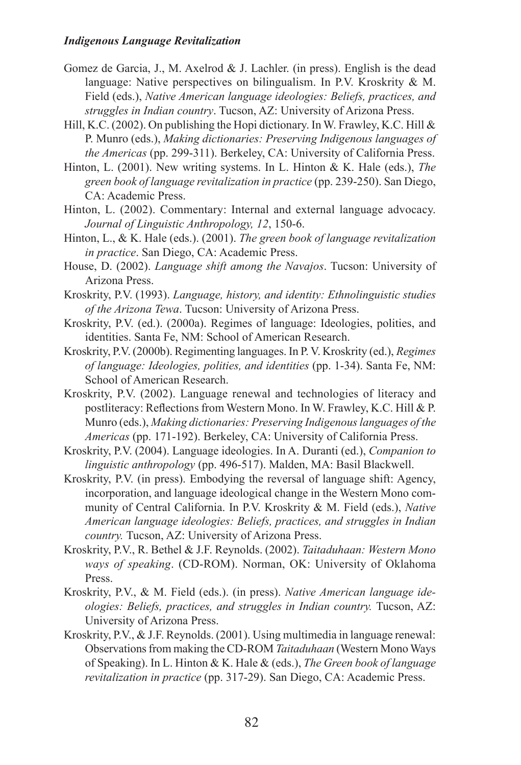- Gomez de Garcia, J., M. Axelrod & J. Lachler. (in press). English is the dead language: Native perspectives on bilingualism. In P.V. Kroskrity & M. Field (eds.), *Native American language ideologies: Beliefs, practices, and struggles in Indian country*. Tucson, AZ: University of Arizona Press.
- Hill, K.C. (2002). On publishing the Hopi dictionary. In W. Frawley, K.C. Hill & P. Munro (eds.), *Making dictionaries: Preserving Indigenous languages of the Americas* (pp. 299-311). Berkeley, CA: University of California Press.
- Hinton, L. (2001). New writing systems. In L. Hinton & K. Hale (eds.), *The green book of language revitalization in practice* (pp. 239-250). San Diego, CA: Academic Press.
- Hinton, L. (2002). Commentary: Internal and external language advocacy. *Journal of Linguistic Anthropology, 12*, 150-6.
- Hinton, L., & K. Hale (eds.). (2001). *The green book of language revitalization in practice*. San Diego, CA: Academic Press.
- House, D. (2002). *Language shift among the Navajos*. Tucson: University of Arizona Press.
- Kroskrity, P.V. (1993). *Language, history, and identity: Ethnolinguistic studies of the Arizona Tewa*. Tucson: University of Arizona Press.
- Kroskrity, P.V. (ed.). (2000a). Regimes of language: Ideologies, polities, and identities. Santa Fe, NM: School of American Research.
- Kroskrity, P.V. (2000b). Regimenting languages. In P. V. Kroskrity (ed.), *Regimes of language: Ideologies, polities, and identities* (pp. 1-34). Santa Fe, NM: School of American Research.
- Kroskrity, P.V. (2002). Language renewal and technologies of literacy and postliteracy: Reflections from Western Mono. In W. Frawley, K.C. Hill & P. Munro (eds.), *Making dictionaries: Preserving Indigenous languages of the Americas* (pp. 171-192). Berkeley, CA: University of California Press.
- Kroskrity, P.V. (2004). Language ideologies. In A. Duranti (ed.), *Companion to linguistic anthropology* (pp. 496-517). Malden, MA: Basil Blackwell.
- Kroskrity, P.V. (in press). Embodying the reversal of language shift: Agency, incorporation, and language ideological change in the Western Mono community of Central California. In P.V. Kroskrity & M. Field (eds.), *Native American language ideologies: Beliefs, practices, and struggles in Indian country.* Tucson, AZ: University of Arizona Press.
- Kroskrity, P.V., R. Bethel & J.F. Reynolds. (2002). *Taitaduhaan: Western Mono ways of speaking*. (CD-ROM). Norman, OK: University of Oklahoma Press.
- Kroskrity, P.V., & M. Field (eds.). (in press). *Native American language ideologies: Beliefs, practices, and struggles in Indian country.* Tucson, AZ: University of Arizona Press.
- Kroskrity, P.V., & J.F. Reynolds. (2001). Using multimedia in language renewal: Observations from making the CD-ROM *Taitaduhaan* (Western Mono Ways of Speaking). In L. Hinton & K. Hale & (eds.), *The Green book of language revitalization in practice* (pp. 317-29). San Diego, CA: Academic Press.